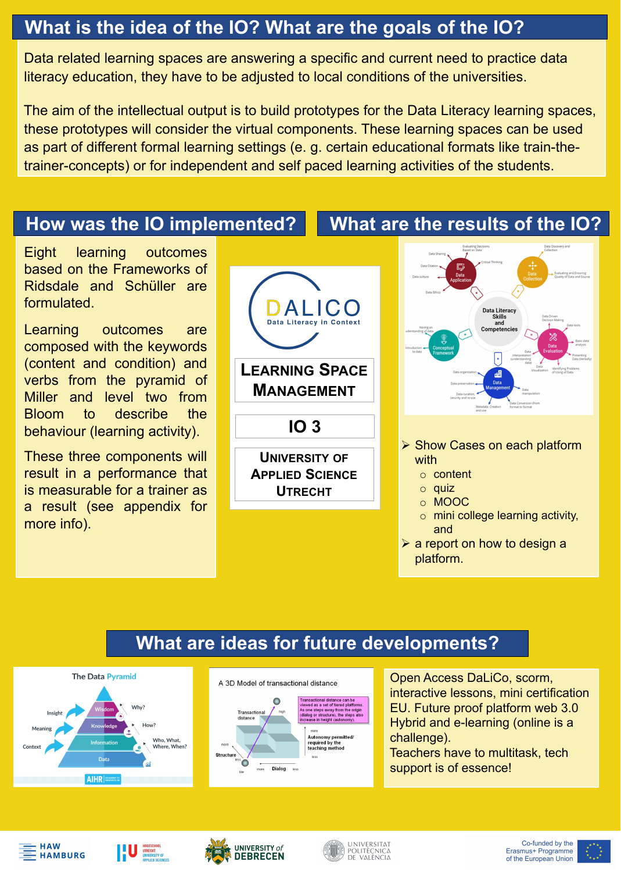▶ Show Cases on each platform with

o content

o quiz

o MOOC

a report on how to design a platform.

o mini college learning activity, and

Data related learning spaces are answering a specific and current need to practice data literacy education, they have to be adjusted to local conditions of the universities.

The aim of the intellectual output is to build prototypes for the Data Literacy learning spaces, these prototypes will consider the virtual components. These learning spaces can be used as part of different formal learning settings (e. g. certain educational formats like train-thetrainer-concepts) or for independent and self paced learning activities of the students.





Learning outcomes are composed with the keywords (content and condition) and verbs from the pyramid of Miller and level two from Bloom to describe the behaviour (learning activity).

> Open Access DaLiCo, scorm, interactive lessons, mini certification EU. Future proof platform web 3.0 Hybrid and e-learning (online is a challenge). Teachers have to multitask, tech support is of essence!













#### **What is the idea of the IO? What are the goals of the IO?**

#### **How was the IO implemented? What are the results of the IO?**

### **What are ideas for future developments?**



A 3D Model of transactional distance



**APPLIED SCIENCE UTRECHT**

Eight learning outcomes based on the Frameworks of Ridsdale and Schüller are formulated.

These three components will result in a performance that is measurable for a trainer as a result (see appendix for more info).